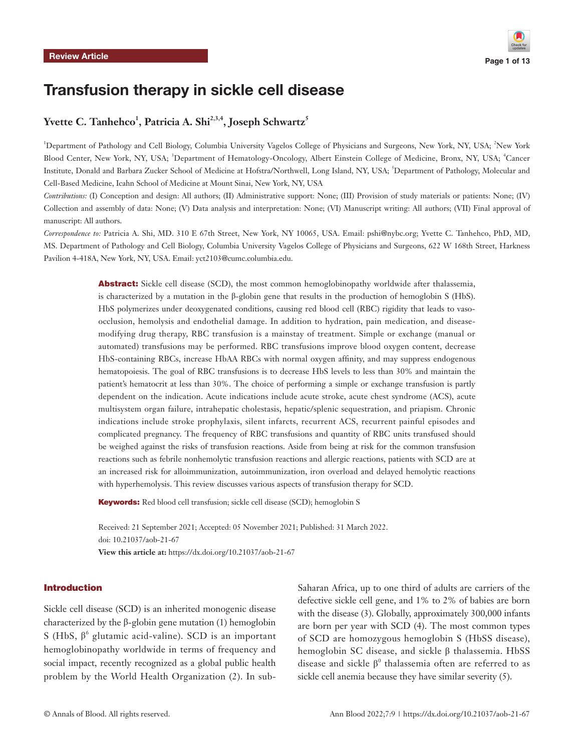# Transfusion therapy in sickle cell disease

# Yvette C. Tanhehco<sup>1</sup>, Patricia A. Shi<sup>2,3,4</sup>, Joseph Schwartz<sup>5</sup>

<sup>1</sup>Department of Pathology and Cell Biology, Columbia University Vagelos College of Physicians and Surgeons, New York, NY, USA; <sup>2</sup>New York Blood Center, New York, NY, USA; <sup>3</sup>Department of Hematology-Oncology, Albert Einstein College of Medicine, Bronx, NY, USA; <sup>4</sup>Cancer Institute, Donald and Barbara Zucker School of Medicine at Hofstra/Northwell, Long Island, NY, USA; <sup>5</sup> Department of Pathology, Molecular and Cell-Based Medicine, Icahn School of Medicine at Mount Sinai, New York, NY, USA

*Contributions:* (I) Conception and design: All authors; (II) Administrative support: None; (III) Provision of study materials or patients: None; (IV) Collection and assembly of data: None; (V) Data analysis and interpretation: None; (VI) Manuscript writing: All authors; (VII) Final approval of manuscript: All authors.

*Correspondence to:* Patricia A. Shi, MD. 310 E 67th Street, New York, NY 10065, USA. Email: pshi@nybc.org; Yvette C. Tanhehco, PhD, MD, MS. Department of Pathology and Cell Biology, Columbia University Vagelos College of Physicians and Surgeons, 622 W 168th Street, Harkness Pavilion 4-418A, New York, NY, USA. Email: yct2103@cumc.columbia.edu.

> Abstract: Sickle cell disease (SCD), the most common hemoglobinopathy worldwide after thalassemia, is characterized by a mutation in the β-globin gene that results in the production of hemoglobin S (HbS). HbS polymerizes under deoxygenated conditions, causing red blood cell (RBC) rigidity that leads to vasoocclusion, hemolysis and endothelial damage. In addition to hydration, pain medication, and diseasemodifying drug therapy, RBC transfusion is a mainstay of treatment. Simple or exchange (manual or automated) transfusions may be performed. RBC transfusions improve blood oxygen content, decrease HbS-containing RBCs, increase HbAA RBCs with normal oxygen affinity, and may suppress endogenous hematopoiesis. The goal of RBC transfusions is to decrease HbS levels to less than 30% and maintain the patient's hematocrit at less than 30%. The choice of performing a simple or exchange transfusion is partly dependent on the indication. Acute indications include acute stroke, acute chest syndrome (ACS), acute multisystem organ failure, intrahepatic cholestasis, hepatic/splenic sequestration, and priapism. Chronic indications include stroke prophylaxis, silent infarcts, recurrent ACS, recurrent painful episodes and complicated pregnancy. The frequency of RBC transfusions and quantity of RBC units transfused should be weighed against the risks of transfusion reactions. Aside from being at risk for the common transfusion reactions such as febrile nonhemolytic transfusion reactions and allergic reactions, patients with SCD are at an increased risk for alloimmunization, autoimmunization, iron overload and delayed hemolytic reactions with hyperhemolysis. This review discusses various aspects of transfusion therapy for SCD.

Keywords: Red blood cell transfusion; sickle cell disease (SCD); hemoglobin S

Received: 21 September 2021; Accepted: 05 November 2021; Published: 31 March 2022. doi: 10.21037/aob-21-67 **View this article at:** https://dx.doi.org/10.21037/aob-21-67

### Introduction

Sickle cell disease (SCD) is an inherited monogenic disease characterized by the β-globin gene mutation (1) hemoglobin S (HbS,  $\beta^6$  glutamic acid-valine). SCD is an important hemoglobinopathy worldwide in terms of frequency and social impact, recently recognized as a global public health problem by the World Health Organization (2). In sub-

Saharan Africa, up to one third of adults are carriers of the defective sickle cell gene, and 1% to 2% of babies are born with the disease (3). Globally, approximately 300,000 infants are born per year with SCD (4). The most common types of SCD are homozygous hemoglobin S (HbSS disease), hemoglobin SC disease, and sickle β thalassemia. HbSS disease and sickle  $\beta^0$  thalassemia often are referred to as sickle cell anemia because they have similar severity (5).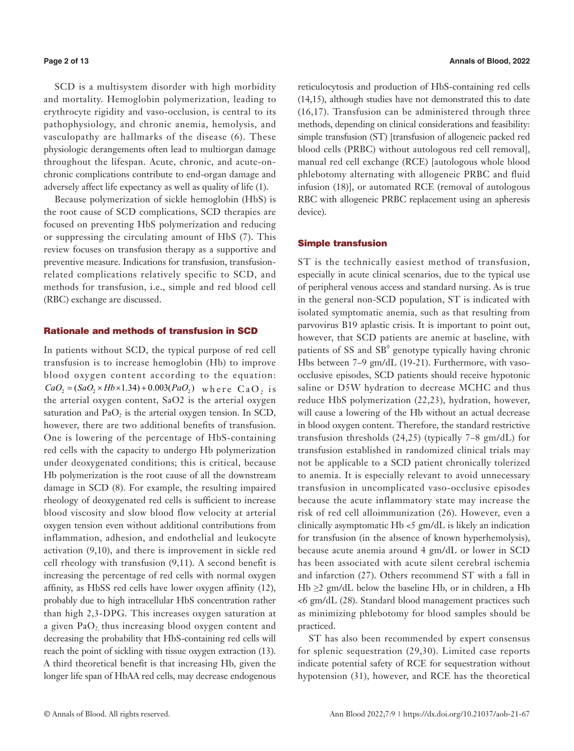SCD is a multisystem disorder with high morbidity and mortality. Hemoglobin polymerization, leading to erythrocyte rigidity and vaso-occlusion, is central to its pathophysiology, and chronic anemia, hemolysis, and vasculopathy are hallmarks of the disease (6). These physiologic derangements often lead to multiorgan damage throughout the lifespan. Acute, chronic, and acute-onchronic complications contribute to end-organ damage and adversely affect life expectancy as well as quality of life (1).

Because polymerization of sickle hemoglobin (HbS) is the root cause of SCD complications, SCD therapies are focused on preventing HbS polymerization and reducing or suppressing the circulating amount of HbS (7). This review focuses on transfusion therapy as a supportive and preventive measure. Indications for transfusion, transfusionrelated complications relatively specific to SCD, and methods for transfusion, i.e., simple and red blood cell (RBC) exchange are discussed.

# Rationale and methods of transfusion in SCD

In patients without SCD, the typical purpose of red cell transfusion is to increase hemoglobin (Hb) to improve blood oxygen content according to the equation:  $CaO<sub>2</sub> = (SaO<sub>2</sub> \times Hb \times 1.34) + 0.003(PaO<sub>2</sub>)$  where CaO, is the arterial oxygen content, SaO2 is the arterial oxygen saturation and  $PaO<sub>2</sub>$  is the arterial oxygen tension. In SCD, however, there are two additional benefits of transfusion. One is lowering of the percentage of HbS-containing red cells with the capacity to undergo Hb polymerization under deoxygenated conditions; this is critical, because Hb polymerization is the root cause of all the downstream damage in SCD (8). For example, the resulting impaired rheology of deoxygenated red cells is sufficient to increase blood viscosity and slow blood flow velocity at arterial oxygen tension even without additional contributions from inflammation, adhesion, and endothelial and leukocyte activation (9,10), and there is improvement in sickle red cell rheology with transfusion (9,11). A second benefit is increasing the percentage of red cells with normal oxygen affinity, as HbSS red cells have lower oxygen affinity (12), probably due to high intracellular HbS concentration rather than high 2,3-DPG. This increases oxygen saturation at a given  $PaO<sub>2</sub>$  thus increasing blood oxygen content and decreasing the probability that HbS-containing red cells will reach the point of sickling with tissue oxygen extraction (13). A third theoretical benefit is that increasing Hb, given the longer life span of HbAA red cells, may decrease endogenous

reticulocytosis and production of HbS-containing red cells (14,15), although studies have not demonstrated this to date (16,17). Transfusion can be administered through three methods, depending on clinical considerations and feasibility: simple transfusion (ST) [transfusion of allogeneic packed red blood cells (PRBC) without autologous red cell removal], manual red cell exchange (RCE) [autologous whole blood phlebotomy alternating with allogeneic PRBC and fluid infusion (18)], or automated RCE (removal of autologous RBC with allogeneic PRBC replacement using an apheresis device).

### Simple transfusion

ST is the technically easiest method of transfusion, especially in acute clinical scenarios, due to the typical use of peripheral venous access and standard nursing. As is true in the general non-SCD population, ST is indicated with isolated symptomatic anemia, such as that resulting from parvovirus B19 aplastic crisis. It is important to point out, however, that SCD patients are anemic at baseline, with patients of SS and  $SB^0$  genotype typically having chronic Hbs between 7–9 gm/dL (19-21). Furthermore, with vasoocclusive episodes, SCD patients should receive hypotonic saline or D5W hydration to decrease MCHC and thus reduce HbS polymerization (22,23), hydration, however, will cause a lowering of the Hb without an actual decrease in blood oxygen content. Therefore, the standard restrictive transfusion thresholds (24,25) (typically 7–8 gm/dL) for transfusion established in randomized clinical trials may not be applicable to a SCD patient chronically tolerized to anemia. It is especially relevant to avoid unnecessary transfusion in uncomplicated vaso-occlusive episodes because the acute inflammatory state may increase the risk of red cell alloimmunization (26). However, even a clinically asymptomatic Hb <5 gm/dL is likely an indication for transfusion (in the absence of known hyperhemolysis), because acute anemia around 4 gm/dL or lower in SCD has been associated with acute silent cerebral ischemia and infarction (27). Others recommend ST with a fall in  $Hb \geq 2$  gm/dL below the baseline Hb, or in children, a Hb <6 gm/dL (28). Standard blood management practices such as minimizing phlebotomy for blood samples should be practiced.

ST has also been recommended by expert consensus for splenic sequestration (29,30). Limited case reports indicate potential safety of RCE for sequestration without hypotension (31), however, and RCE has the theoretical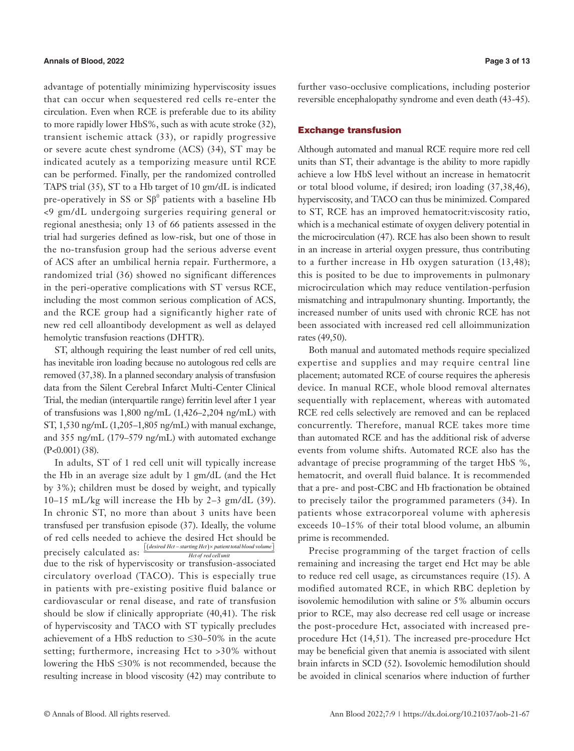# **Annals of Blood, 2022 Page 3 of 13**

advantage of potentially minimizing hyperviscosity issues that can occur when sequestered red cells re-enter the circulation. Even when RCE is preferable due to its ability to more rapidly lower HbS%, such as with acute stroke (32), transient ischemic attack (33), or rapidly progressive or severe acute chest syndrome (ACS) (34), ST may be indicated acutely as a temporizing measure until RCE can be performed. Finally, per the randomized controlled TAPS trial (35), ST to a Hb target of 10 gm/dL is indicated pre-operatively in SS or  $S\beta^0$  patients with a baseline Hb <9 gm/dL undergoing surgeries requiring general or regional anesthesia; only 13 of 66 patients assessed in the trial had surgeries defined as low-risk, but one of those in the no-transfusion group had the serious adverse event of ACS after an umbilical hernia repair. Furthermore, a randomized trial (36) showed no significant differences in the peri-operative complications with ST versus RCE, including the most common serious complication of ACS, and the RCE group had a significantly higher rate of new red cell alloantibody development as well as delayed hemolytic transfusion reactions (DHTR).

ST, although requiring the least number of red cell units, has inevitable iron loading because no autologous red cells are removed (37,38). In a planned secondary analysis of transfusion data from the Silent Cerebral Infarct Multi-Center Clinical Trial, the median (interquartile range) ferritin level after 1 year of transfusions was 1,800 ng/mL (1,426–2,204 ng/mL) with ST, 1,530 ng/mL (1,205–1,805 ng/mL) with manual exchange, and 355 ng/mL (179–579 ng/mL) with automated exchange (P<0.001) (38).

In adults, ST of 1 red cell unit will typically increase the Hb in an average size adult by 1 gm/dL (and the Hct by 3%); children must be dosed by weight, and typically 10–15 mL/kg will increase the Hb by 2–3 gm/dL (39). In chronic ST, no more than about 3 units have been transfused per transfusion episode (37). Ideally, the volume of red cells needed to achieve the desired Hct should be precisely calculated as:  $\frac{[(desired Het - starting Het) \times patient total blood volume]}{Het of red cellular}$ due to the risk of hyperviscosity or transfusion-associated circulatory overload (TACO). This is especially true in patients with pre-existing positive fluid balance or cardiovascular or renal disease, and rate of transfusion should be slow if clinically appropriate (40,41). The risk of hyperviscosity and TACO with ST typically precludes achievement of a HbS reduction to ≤30–50% in the acute setting; furthermore, increasing Hct to >30% without lowering the HbS ≤30% is not recommended, because the resulting increase in blood viscosity (42) may contribute to

further vaso-occlusive complications, including posterior reversible encephalopathy syndrome and even death (43-45).

### Exchange transfusion

Although automated and manual RCE require more red cell units than ST, their advantage is the ability to more rapidly achieve a low HbS level without an increase in hematocrit or total blood volume, if desired; iron loading (37,38,46), hyperviscosity, and TACO can thus be minimized. Compared to ST, RCE has an improved hematocrit:viscosity ratio, which is a mechanical estimate of oxygen delivery potential in the microcirculation (47). RCE has also been shown to result in an increase in arterial oxygen pressure, thus contributing to a further increase in Hb oxygen saturation (13,48); this is posited to be due to improvements in pulmonary microcirculation which may reduce ventilation-perfusion mismatching and intrapulmonary shunting. Importantly, the increased number of units used with chronic RCE has not been associated with increased red cell alloimmunization rates (49,50).

Both manual and automated methods require specialized expertise and supplies and may require central line placement; automated RCE of course requires the apheresis device. In manual RCE, whole blood removal alternates sequentially with replacement, whereas with automated RCE red cells selectively are removed and can be replaced concurrently. Therefore, manual RCE takes more time than automated RCE and has the additional risk of adverse events from volume shifts. Automated RCE also has the advantage of precise programming of the target HbS %, hematocrit, and overall fluid balance. It is recommended that a pre- and post-CBC and Hb fractionation be obtained to precisely tailor the programmed parameters (34). In patients whose extracorporeal volume with apheresis exceeds 10–15% of their total blood volume, an albumin prime is recommended.

Precise programming of the target fraction of cells remaining and increasing the target end Hct may be able to reduce red cell usage, as circumstances require (15). A modified automated RCE, in which RBC depletion by isovolemic hemodilution with saline or 5% albumin occurs prior to RCE, may also decrease red cell usage or increase the post-procedure Hct, associated with increased preprocedure Hct (14,51). The increased pre-procedure Hct may be beneficial given that anemia is associated with silent brain infarcts in SCD (52). Isovolemic hemodilution should be avoided in clinical scenarios where induction of further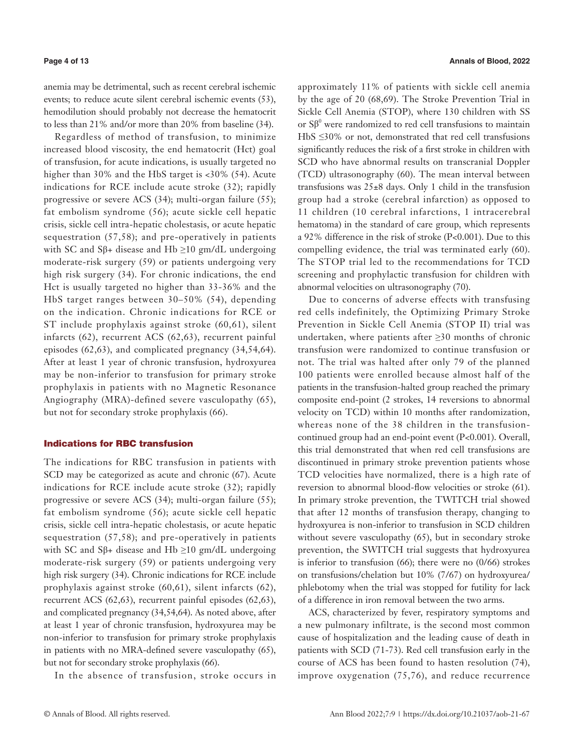anemia may be detrimental, such as recent cerebral ischemic events; to reduce acute silent cerebral ischemic events (53), hemodilution should probably not decrease the hematocrit to less than 21% and/or more than 20% from baseline (34).

Regardless of method of transfusion, to minimize increased blood viscosity, the end hematocrit (Hct) goal of transfusion, for acute indications, is usually targeted no higher than 30% and the HbS target is <30% (54). Acute indications for RCE include acute stroke (32); rapidly progressive or severe ACS (34); multi-organ failure (55); fat embolism syndrome (56); acute sickle cell hepatic crisis, sickle cell intra-hepatic cholestasis, or acute hepatic sequestration (57,58); and pre-operatively in patients with SC and S $\beta$ + disease and Hb  $\geq$ 10 gm/dL undergoing moderate-risk surgery (59) or patients undergoing very high risk surgery (34). For chronic indications, the end Hct is usually targeted no higher than 33-36% and the HbS target ranges between 30–50% (54), depending on the indication. Chronic indications for RCE or ST include prophylaxis against stroke (60,61), silent infarcts (62), recurrent ACS (62,63), recurrent painful episodes (62,63), and complicated pregnancy (34,54,64). After at least 1 year of chronic transfusion, hydroxyurea may be non-inferior to transfusion for primary stroke prophylaxis in patients with no Magnetic Resonance Angiography (MRA)-defined severe vasculopathy (65), but not for secondary stroke prophylaxis (66).

# Indications for RBC transfusion

The indications for RBC transfusion in patients with SCD may be categorized as acute and chronic (67). Acute indications for RCE include acute stroke (32); rapidly progressive or severe ACS (34); multi-organ failure (55); fat embolism syndrome (56); acute sickle cell hepatic crisis, sickle cell intra-hepatic cholestasis, or acute hepatic sequestration (57,58); and pre-operatively in patients with SC and S $\beta$ + disease and Hb  $\geq$ 10 gm/dL undergoing moderate-risk surgery (59) or patients undergoing very high risk surgery (34). Chronic indications for RCE include prophylaxis against stroke (60,61), silent infarcts (62), recurrent ACS (62,63), recurrent painful episodes (62,63), and complicated pregnancy (34,54,64). As noted above, after at least 1 year of chronic transfusion, hydroxyurea may be non-inferior to transfusion for primary stroke prophylaxis in patients with no MRA-defined severe vasculopathy (65), but not for secondary stroke prophylaxis (66).

In the absence of transfusion, stroke occurs in

approximately 11% of patients with sickle cell anemia by the age of 20 (68,69). The Stroke Prevention Trial in Sickle Cell Anemia (STOP), where 130 children with SS or  $S\beta^0$  were randomized to red cell transfusions to maintain HbS ≤30% or not, demonstrated that red cell transfusions significantly reduces the risk of a first stroke in children with SCD who have abnormal results on transcranial Doppler (TCD) ultrasonography (60). The mean interval between transfusions was 25±8 days. Only 1 child in the transfusion group had a stroke (cerebral infarction) as opposed to 11 children (10 cerebral infarctions, 1 intracerebral hematoma) in the standard of care group, which represents a 92% difference in the risk of stroke (P<0.001). Due to this compelling evidence, the trial was terminated early (60). The STOP trial led to the recommendations for TCD screening and prophylactic transfusion for children with abnormal velocities on ultrasonography (70).

Due to concerns of adverse effects with transfusing red cells indefinitely, the Optimizing Primary Stroke Prevention in Sickle Cell Anemia (STOP II) trial was undertaken, where patients after ≥30 months of chronic transfusion were randomized to continue transfusion or not. The trial was halted after only 79 of the planned 100 patients were enrolled because almost half of the patients in the transfusion-halted group reached the primary composite end-point (2 strokes, 14 reversions to abnormal velocity on TCD) within 10 months after randomization, whereas none of the 38 children in the transfusioncontinued group had an end-point event (P<0.001). Overall, this trial demonstrated that when red cell transfusions are discontinued in primary stroke prevention patients whose TCD velocities have normalized, there is a high rate of reversion to abnormal blood-flow velocities or stroke (61). In primary stroke prevention, the TWITCH trial showed that after 12 months of transfusion therapy, changing to hydroxyurea is non-inferior to transfusion in SCD children without severe vasculopathy (65), but in secondary stroke prevention, the SWITCH trial suggests that hydroxyurea is inferior to transfusion (66); there were no (0/66) strokes on transfusions/chelation but 10% (7/67) on hydroxyurea/ phlebotomy when the trial was stopped for futility for lack of a difference in iron removal between the two arms.

ACS, characterized by fever, respiratory symptoms and a new pulmonary infiltrate, is the second most common cause of hospitalization and the leading cause of death in patients with SCD (71-73). Red cell transfusion early in the course of ACS has been found to hasten resolution (74), improve oxygenation (75,76), and reduce recurrence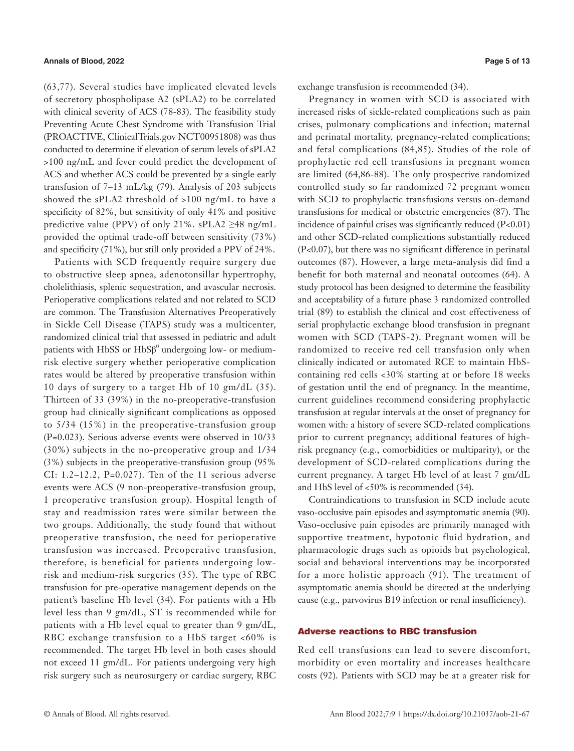(63,77). Several studies have implicated elevated levels of secretory phospholipase A2 (sPLA2) to be correlated with clinical severity of ACS (78-83). The feasibility study Preventing Acute Chest Syndrome with Transfusion Trial (PROACTIVE, ClinicalTrials.gov NCT00951808) was thus conducted to determine if elevation of serum levels of sPLA2 >100 ng/mL and fever could predict the development of ACS and whether ACS could be prevented by a single early transfusion of 7–13 mL/kg (79). Analysis of 203 subjects showed the sPLA2 threshold of >100 ng/mL to have a specificity of 82%, but sensitivity of only 41% and positive predictive value (PPV) of only 21%. sPLA2  $\geq$ 48 ng/mL provided the optimal trade-off between sensitivity (73%) and specificity (71%), but still only provided a PPV of 24%.

Patients with SCD frequently require surgery due to obstructive sleep apnea, adenotonsillar hypertrophy, cholelithiasis, splenic sequestration, and avascular necrosis. Perioperative complications related and not related to SCD are common. The Transfusion Alternatives Preoperatively in Sickle Cell Disease (TAPS) study was a multicenter, randomized clinical trial that assessed in pediatric and adult patients with HbSS or  $HbS\beta^0$  undergoing low- or mediumrisk elective surgery whether perioperative complication rates would be altered by preoperative transfusion within 10 days of surgery to a target Hb of 10 gm/dL (35). Thirteen of 33 (39%) in the no-preoperative-transfusion group had clinically significant complications as opposed to 5/34 (15%) in the preoperative-transfusion group (P=0.023). Serious adverse events were observed in 10/33 (30%) subjects in the no-preoperative group and 1/34 (3%) subjects in the preoperative-transfusion group (95% CI: 1.2–12.2, P=0.027). Ten of the 11 serious adverse events were ACS (9 non-preoperative-transfusion group, 1 preoperative transfusion group). Hospital length of stay and readmission rates were similar between the two groups. Additionally, the study found that without preoperative transfusion, the need for perioperative transfusion was increased. Preoperative transfusion, therefore, is beneficial for patients undergoing lowrisk and medium-risk surgeries (35). The type of RBC transfusion for pre-operative management depends on the patient's baseline Hb level (34). For patients with a Hb level less than 9 gm/dL, ST is recommended while for patients with a Hb level equal to greater than 9 gm/dL, RBC exchange transfusion to a HbS target <60% is recommended. The target Hb level in both cases should not exceed 11 gm/dL. For patients undergoing very high risk surgery such as neurosurgery or cardiac surgery, RBC

exchange transfusion is recommended (34).

Pregnancy in women with SCD is associated with increased risks of sickle-related complications such as pain crises, pulmonary complications and infection; maternal and perinatal mortality, pregnancy-related complications; and fetal complications (84,85). Studies of the role of prophylactic red cell transfusions in pregnant women are limited (64,86-88). The only prospective randomized controlled study so far randomized 72 pregnant women with SCD to prophylactic transfusions versus on-demand transfusions for medical or obstetric emergencies (87). The incidence of painful crises was significantly reduced (P<0.01) and other SCD-related complications substantially reduced (P<0.07), but there was no significant difference in perinatal outcomes (87). However, a large meta-analysis did find a benefit for both maternal and neonatal outcomes (64). A study protocol has been designed to determine the feasibility and acceptability of a future phase 3 randomized controlled trial (89) to establish the clinical and cost effectiveness of serial prophylactic exchange blood transfusion in pregnant women with SCD (TAPS-2). Pregnant women will be randomized to receive red cell transfusion only when clinically indicated or automated RCE to maintain HbScontaining red cells <30% starting at or before 18 weeks of gestation until the end of pregnancy. In the meantime, current guidelines recommend considering prophylactic transfusion at regular intervals at the onset of pregnancy for women with: a history of severe SCD-related complications prior to current pregnancy; additional features of highrisk pregnancy (e.g., comorbidities or multiparity), or the development of SCD-related complications during the current pregnancy. A target Hb level of at least 7 gm/dL and HbS level of <50% is recommended (34).

Contraindications to transfusion in SCD include acute vaso-occlusive pain episodes and asymptomatic anemia (90). Vaso-occlusive pain episodes are primarily managed with supportive treatment, hypotonic fluid hydration, and pharmacologic drugs such as opioids but psychological, social and behavioral interventions may be incorporated for a more holistic approach (91). The treatment of asymptomatic anemia should be directed at the underlying cause (e.g., parvovirus B19 infection or renal insufficiency).

# Adverse reactions to RBC transfusion

Red cell transfusions can lead to severe discomfort, morbidity or even mortality and increases healthcare costs (92). Patients with SCD may be at a greater risk for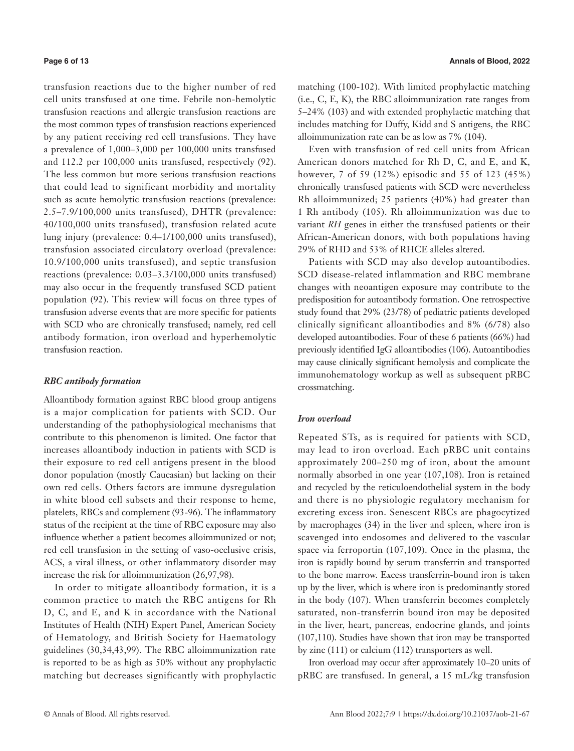transfusion reactions due to the higher number of red cell units transfused at one time. Febrile non-hemolytic transfusion reactions and allergic transfusion reactions are the most common types of transfusion reactions experienced by any patient receiving red cell transfusions. They have a prevalence of 1,000–3,000 per 100,000 units transfused and 112.2 per 100,000 units transfused, respectively (92). The less common but more serious transfusion reactions that could lead to significant morbidity and mortality such as acute hemolytic transfusion reactions (prevalence: 2.5–7.9/100,000 units transfused), DHTR (prevalence: 40/100,000 units transfused), transfusion related acute lung injury (prevalence: 0.4–1/100,000 units transfused), transfusion associated circulatory overload (prevalence: 10.9/100,000 units transfused), and septic transfusion reactions (prevalence: 0.03–3.3/100,000 units transfused) may also occur in the frequently transfused SCD patient population (92). This review will focus on three types of transfusion adverse events that are more specific for patients with SCD who are chronically transfused; namely, red cell antibody formation, iron overload and hyperhemolytic transfusion reaction.

# *RBC antibody formation*

Alloantibody formation against RBC blood group antigens is a major complication for patients with SCD. Our understanding of the pathophysiological mechanisms that contribute to this phenomenon is limited. One factor that increases alloantibody induction in patients with SCD is their exposure to red cell antigens present in the blood donor population (mostly Caucasian) but lacking on their own red cells. Others factors are immune dysregulation in white blood cell subsets and their response to heme, platelets, RBCs and complement (93-96). The inflammatory status of the recipient at the time of RBC exposure may also influence whether a patient becomes alloimmunized or not; red cell transfusion in the setting of vaso-occlusive crisis, ACS, a viral illness, or other inflammatory disorder may increase the risk for alloimmunization (26,97,98).

In order to mitigate alloantibody formation, it is a common practice to match the RBC antigens for Rh D, C, and E, and K in accordance with the National Institutes of Health (NIH) Expert Panel, American Society of Hematology, and British Society for Haematology guidelines (30,34,43,99). The RBC alloimmunization rate is reported to be as high as 50% without any prophylactic matching but decreases significantly with prophylactic matching (100-102). With limited prophylactic matching (i.e., C, E, K), the RBC alloimmunization rate ranges from 5–24% (103) and with extended prophylactic matching that includes matching for Duffy, Kidd and S antigens, the RBC alloimmunization rate can be as low as 7% (104).

Even with transfusion of red cell units from African American donors matched for Rh D, C, and E, and K, however, 7 of 59 (12%) episodic and 55 of 123 (45%) chronically transfused patients with SCD were nevertheless Rh alloimmunized; 25 patients (40%) had greater than 1 Rh antibody (105). Rh alloimmunization was due to variant *RH* genes in either the transfused patients or their African-American donors, with both populations having 29% of RHD and 53% of RHCE alleles altered.

Patients with SCD may also develop autoantibodies. SCD disease-related inflammation and RBC membrane changes with neoantigen exposure may contribute to the predisposition for autoantibody formation. One retrospective study found that 29% (23/78) of pediatric patients developed clinically significant alloantibodies and 8% (6/78) also developed autoantibodies. Four of these 6 patients (66%) had previously identified IgG alloantibodies (106). Autoantibodies may cause clinically significant hemolysis and complicate the immunohematology workup as well as subsequent pRBC crossmatching.

### *Iron overload*

Repeated STs, as is required for patients with SCD, may lead to iron overload. Each pRBC unit contains approximately 200–250 mg of iron, about the amount normally absorbed in one year (107,108). Iron is retained and recycled by the reticuloendothelial system in the body and there is no physiologic regulatory mechanism for excreting excess iron. Senescent RBCs are phagocytized by macrophages (34) in the liver and spleen, where iron is scavenged into endosomes and delivered to the vascular space via ferroportin (107,109). Once in the plasma, the iron is rapidly bound by serum transferrin and transported to the bone marrow. Excess transferrin-bound iron is taken up by the liver, which is where iron is predominantly stored in the body (107). When transferrin becomes completely saturated, non-transferrin bound iron may be deposited in the liver, heart, pancreas, endocrine glands, and joints (107,110). Studies have shown that iron may be transported by zinc (111) or calcium (112) transporters as well.

Iron overload may occur after approximately 10–20 units of pRBC are transfused. In general, a 15 mL/kg transfusion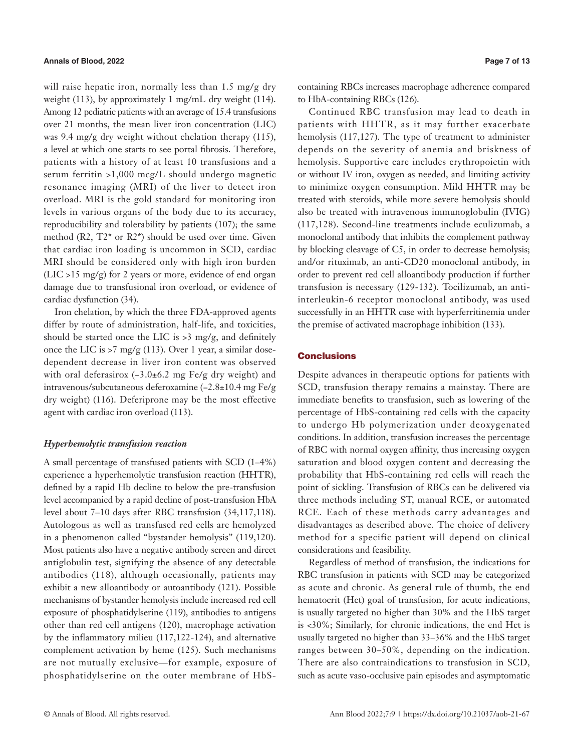will raise hepatic iron, normally less than 1.5 mg/g dry weight (113), by approximately 1 mg/mL dry weight (114). Among 12 pediatric patients with an average of 15.4 transfusions over 21 months, the mean liver iron concentration (LIC) was 9.4 mg/g dry weight without chelation therapy (115), a level at which one starts to see portal fibrosis. Therefore, patients with a history of at least 10 transfusions and a serum ferritin >1,000 mcg/L should undergo magnetic resonance imaging (MRI) of the liver to detect iron overload. MRI is the gold standard for monitoring iron levels in various organs of the body due to its accuracy, reproducibility and tolerability by patients (107); the same method (R2, T2\* or R2\*) should be used over time. Given that cardiac iron loading is uncommon in SCD, cardiac MRI should be considered only with high iron burden (LIC >15 mg/g) for 2 years or more, evidence of end organ damage due to transfusional iron overload, or evidence of cardiac dysfunction (34).

Iron chelation, by which the three FDA-approved agents differ by route of administration, half-life, and toxicities, should be started once the LIC is  $>3$  mg/g, and definitely once the LIC is  $>7$  mg/g (113). Over 1 year, a similar dosedependent decrease in liver iron content was observed with oral deferasirox (−3.0±6.2 mg Fe/g dry weight) and intravenous/subcutaneous deferoxamine (−2.8±10.4 mg Fe/g dry weight) (116). Deferiprone may be the most effective agent with cardiac iron overload (113).

# *Hyperhemolytic transfusion reaction*

A small percentage of transfused patients with SCD (1–4%) experience a hyperhemolytic transfusion reaction (HHTR), defined by a rapid Hb decline to below the pre-transfusion level accompanied by a rapid decline of post-transfusion HbA level about 7–10 days after RBC transfusion (34,117,118). Autologous as well as transfused red cells are hemolyzed in a phenomenon called "bystander hemolysis" (119,120). Most patients also have a negative antibody screen and direct antiglobulin test, signifying the absence of any detectable antibodies (118), although occasionally, patients may exhibit a new alloantibody or autoantibody (121). Possible mechanisms of bystander hemolysis include increased red cell exposure of phosphatidylserine (119), antibodies to antigens other than red cell antigens (120), macrophage activation by the inflammatory milieu (117,122-124), and alternative complement activation by heme (125). Such mechanisms are not mutually exclusive—for example, exposure of phosphatidylserine on the outer membrane of HbS-

containing RBCs increases macrophage adherence compared to HbA-containing RBCs (126).

Continued RBC transfusion may lead to death in patients with HHTR, as it may further exacerbate hemolysis (117,127). The type of treatment to administer depends on the severity of anemia and briskness of hemolysis. Supportive care includes erythropoietin with or without IV iron, oxygen as needed, and limiting activity to minimize oxygen consumption. Mild HHTR may be treated with steroids, while more severe hemolysis should also be treated with intravenous immunoglobulin (IVIG) (117,128). Second-line treatments include eculizumab, a monoclonal antibody that inhibits the complement pathway by blocking cleavage of C5, in order to decrease hemolysis; and/or rituximab, an anti-CD20 monoclonal antibody, in order to prevent red cell alloantibody production if further transfusion is necessary (129-132). Tocilizumab, an antiinterleukin-6 receptor monoclonal antibody, was used successfully in an HHTR case with hyperferritinemia under the premise of activated macrophage inhibition (133).

### **Conclusions**

Despite advances in therapeutic options for patients with SCD, transfusion therapy remains a mainstay. There are immediate benefits to transfusion, such as lowering of the percentage of HbS-containing red cells with the capacity to undergo Hb polymerization under deoxygenated conditions. In addition, transfusion increases the percentage of RBC with normal oxygen affinity, thus increasing oxygen saturation and blood oxygen content and decreasing the probability that HbS-containing red cells will reach the point of sickling. Transfusion of RBCs can be delivered via three methods including ST, manual RCE, or automated RCE. Each of these methods carry advantages and disadvantages as described above. The choice of delivery method for a specific patient will depend on clinical considerations and feasibility.

Regardless of method of transfusion, the indications for RBC transfusion in patients with SCD may be categorized as acute and chronic. As general rule of thumb, the end hematocrit (Hct) goal of transfusion, for acute indications, is usually targeted no higher than 30% and the HbS target is <30%; Similarly, for chronic indications, the end Hct is usually targeted no higher than 33–36% and the HbS target ranges between 30–50%, depending on the indication. There are also contraindications to transfusion in SCD, such as acute vaso-occlusive pain episodes and asymptomatic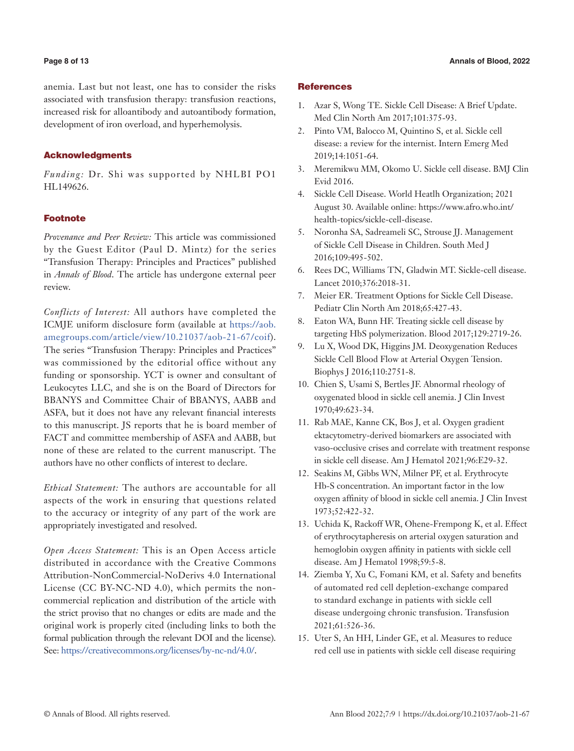### **Page 8 of 13 Annals of Blood, 2022**

anemia. Last but not least, one has to consider the risks associated with transfusion therapy: transfusion reactions, increased risk for alloantibody and autoantibody formation, development of iron overload, and hyperhemolysis.

# Acknowledgments

*Funding:* Dr. Shi was supported by NHLBI PO1 HL149626.

# **Footnote**

*Provenance and Peer Review:* This article was commissioned by the Guest Editor (Paul D. Mintz) for the series "Transfusion Therapy: Principles and Practices" published in *Annals of Blood*. The article has undergone external peer review.

*Conflicts of Interest:* All authors have completed the ICMJE uniform disclosure form (available at [https://aob.](https://aob.amegroups.com/article/view/10.21037/aob-21-67/coif) [amegroups.com/article/view/10.21037/aob-21-67/coif](https://aob.amegroups.com/article/view/10.21037/aob-21-67/coif)). The series "Transfusion Therapy: Principles and Practices" was commissioned by the editorial office without any funding or sponsorship. YCT is owner and consultant of Leukocytes LLC, and she is on the Board of Directors for BBANYS and Committee Chair of BBANYS, AABB and ASFA, but it does not have any relevant financial interests to this manuscript. JS reports that he is board member of FACT and committee membership of ASFA and AABB, but none of these are related to the current manuscript. The authors have no other conflicts of interest to declare.

*Ethical Statement:* The authors are accountable for all aspects of the work in ensuring that questions related to the accuracy or integrity of any part of the work are appropriately investigated and resolved.

*Open Access Statement:* This is an Open Access article distributed in accordance with the Creative Commons Attribution-NonCommercial-NoDerivs 4.0 International License (CC BY-NC-ND 4.0), which permits the noncommercial replication and distribution of the article with the strict proviso that no changes or edits are made and the original work is properly cited (including links to both the formal publication through the relevant DOI and the license). See: [https://creativecommons.org/licenses/by-nc-nd/4.0/.](https://creativecommons.org/licenses/by-nc-nd/4.0/)

### **References**

- 1. Azar S, Wong TE. Sickle Cell Disease: A Brief Update. Med Clin North Am 2017;101:375-93.
- 2. Pinto VM, Balocco M, Quintino S, et al. Sickle cell disease: a review for the internist. Intern Emerg Med 2019;14:1051-64.
- 3. Meremikwu MM, Okomo U. Sickle cell disease. BMJ Clin Evid 2016.
- 4. Sickle Cell Disease. World Heatlh Organization; 2021 August 30. Available online: https://www.afro.who.int/ health-topics/sickle-cell-disease.
- 5. Noronha SA, Sadreameli SC, Strouse JJ. Management of Sickle Cell Disease in Children. South Med J 2016;109:495-502.
- 6. Rees DC, Williams TN, Gladwin MT. Sickle-cell disease. Lancet 2010;376:2018-31.
- 7. Meier ER. Treatment Options for Sickle Cell Disease. Pediatr Clin North Am 2018;65:427-43.
- 8. Eaton WA, Bunn HF. Treating sickle cell disease by targeting HbS polymerization. Blood 2017;129:2719-26.
- 9. Lu X, Wood DK, Higgins JM. Deoxygenation Reduces Sickle Cell Blood Flow at Arterial Oxygen Tension. Biophys J 2016;110:2751-8.
- 10. Chien S, Usami S, Bertles JF. Abnormal rheology of oxygenated blood in sickle cell anemia. J Clin Invest 1970;49:623-34.
- 11. Rab MAE, Kanne CK, Bos J, et al. Oxygen gradient ektacytometry-derived biomarkers are associated with vaso-occlusive crises and correlate with treatment response in sickle cell disease. Am J Hematol 2021;96:E29-32.
- 12. Seakins M, Gibbs WN, Milner PF, et al. Erythrocyte Hb-S concentration. An important factor in the low oxygen affinity of blood in sickle cell anemia. J Clin Invest 1973;52:422-32.
- 13. Uchida K, Rackoff WR, Ohene-Frempong K, et al. Effect of erythrocytapheresis on arterial oxygen saturation and hemoglobin oxygen affinity in patients with sickle cell disease. Am J Hematol 1998;59:5-8.
- 14. Ziemba Y, Xu C, Fomani KM, et al. Safety and benefits of automated red cell depletion-exchange compared to standard exchange in patients with sickle cell disease undergoing chronic transfusion. Transfusion 2021;61:526-36.
- 15. Uter S, An HH, Linder GE, et al. Measures to reduce red cell use in patients with sickle cell disease requiring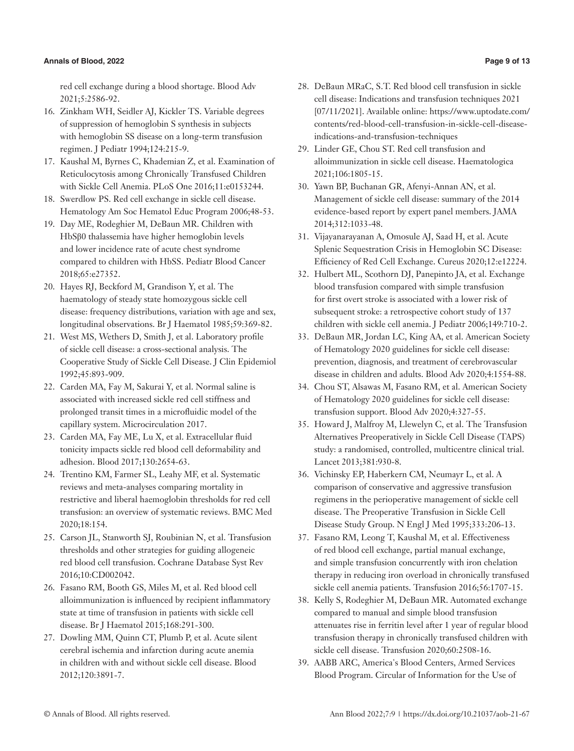# **Annals of Blood, 2022 Page 9 of 13**

red cell exchange during a blood shortage. Blood Adv 2021;5:2586-92.

- 16. Zinkham WH, Seidler AJ, Kickler TS. Variable degrees of suppression of hemoglobin S synthesis in subjects with hemoglobin SS disease on a long-term transfusion regimen. J Pediatr 1994;124:215-9.
- 17. Kaushal M, Byrnes C, Khademian Z, et al. Examination of Reticulocytosis among Chronically Transfused Children with Sickle Cell Anemia. PLoS One 2016;11:e0153244.
- 18. Swerdlow PS. Red cell exchange in sickle cell disease. Hematology Am Soc Hematol Educ Program 2006;48-53.
- 19. Day ME, Rodeghier M, DeBaun MR. Children with HbSβ0 thalassemia have higher hemoglobin levels and lower incidence rate of acute chest syndrome compared to children with HbSS. Pediatr Blood Cancer 2018;65:e27352.
- 20. Hayes RJ, Beckford M, Grandison Y, et al. The haematology of steady state homozygous sickle cell disease: frequency distributions, variation with age and sex, longitudinal observations. Br J Haematol 1985;59:369-82.
- 21. West MS, Wethers D, Smith J, et al. Laboratory profile of sickle cell disease: a cross-sectional analysis. The Cooperative Study of Sickle Cell Disease. J Clin Epidemiol 1992;45:893-909.
- 22. Carden MA, Fay M, Sakurai Y, et al. Normal saline is associated with increased sickle red cell stiffness and prolonged transit times in a microfluidic model of the capillary system. Microcirculation 2017.
- 23. Carden MA, Fay ME, Lu X, et al. Extracellular fluid tonicity impacts sickle red blood cell deformability and adhesion. Blood 2017;130:2654-63.
- 24. Trentino KM, Farmer SL, Leahy MF, et al. Systematic reviews and meta-analyses comparing mortality in restrictive and liberal haemoglobin thresholds for red cell transfusion: an overview of systematic reviews. BMC Med 2020;18:154.
- 25. Carson JL, Stanworth SJ, Roubinian N, et al. Transfusion thresholds and other strategies for guiding allogeneic red blood cell transfusion. Cochrane Database Syst Rev 2016;10:CD002042.
- 26. Fasano RM, Booth GS, Miles M, et al. Red blood cell alloimmunization is influenced by recipient inflammatory state at time of transfusion in patients with sickle cell disease. Br J Haematol 2015;168:291-300.
- 27. Dowling MM, Quinn CT, Plumb P, et al. Acute silent cerebral ischemia and infarction during acute anemia in children with and without sickle cell disease. Blood 2012;120:3891-7.
- 28. DeBaun MRaC, S.T. Red blood cell transfusion in sickle cell disease: Indications and transfusion techniques 2021 [07/11/2021]. Available online: https://www.uptodate.com/ contents/red-blood-cell-transfusion-in-sickle-cell-diseaseindications-and-transfusion-techniques
- 29. Linder GE, Chou ST. Red cell transfusion and alloimmunization in sickle cell disease. Haematologica 2021;106:1805-15.
- 30. Yawn BP, Buchanan GR, Afenyi-Annan AN, et al. Management of sickle cell disease: summary of the 2014 evidence-based report by expert panel members. JAMA 2014;312:1033-48.
- 31. Vijayanarayanan A, Omosule AJ, Saad H, et al. Acute Splenic Sequestration Crisis in Hemoglobin SC Disease: Efficiency of Red Cell Exchange. Cureus 2020;12:e12224.
- 32. Hulbert ML, Scothorn DJ, Panepinto JA, et al. Exchange blood transfusion compared with simple transfusion for first overt stroke is associated with a lower risk of subsequent stroke: a retrospective cohort study of 137 children with sickle cell anemia. J Pediatr 2006;149:710-2.
- 33. DeBaun MR, Jordan LC, King AA, et al. American Society of Hematology 2020 guidelines for sickle cell disease: prevention, diagnosis, and treatment of cerebrovascular disease in children and adults. Blood Adv 2020;4:1554-88.
- 34. Chou ST, Alsawas M, Fasano RM, et al. American Society of Hematology 2020 guidelines for sickle cell disease: transfusion support. Blood Adv 2020;4:327-55.
- 35. Howard J, Malfroy M, Llewelyn C, et al. The Transfusion Alternatives Preoperatively in Sickle Cell Disease (TAPS) study: a randomised, controlled, multicentre clinical trial. Lancet 2013;381:930-8.
- 36. Vichinsky EP, Haberkern CM, Neumayr L, et al. A comparison of conservative and aggressive transfusion regimens in the perioperative management of sickle cell disease. The Preoperative Transfusion in Sickle Cell Disease Study Group. N Engl J Med 1995;333:206-13.
- 37. Fasano RM, Leong T, Kaushal M, et al. Effectiveness of red blood cell exchange, partial manual exchange, and simple transfusion concurrently with iron chelation therapy in reducing iron overload in chronically transfused sickle cell anemia patients. Transfusion 2016;56:1707-15.
- 38. Kelly S, Rodeghier M, DeBaun MR. Automated exchange compared to manual and simple blood transfusion attenuates rise in ferritin level after 1 year of regular blood transfusion therapy in chronically transfused children with sickle cell disease. Transfusion 2020;60:2508-16.
- 39. AABB ARC, America's Blood Centers, Armed Services Blood Program. Circular of Information for the Use of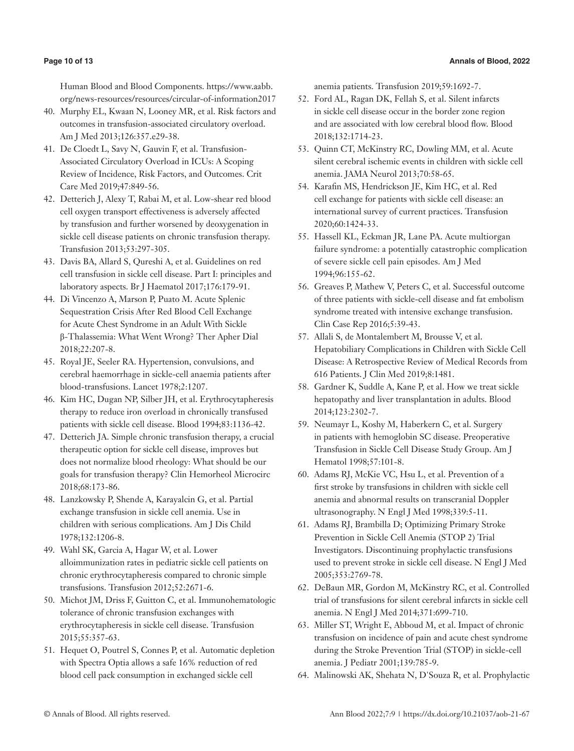Human Blood and Blood Components. https://www.aabb. org/news-resources/resources/circular-of-information2017

- 40. Murphy EL, Kwaan N, Looney MR, et al. Risk factors and outcomes in transfusion-associated circulatory overload. Am J Med 2013;126:357.e29-38.
- 41. De Cloedt L, Savy N, Gauvin F, et al. Transfusion-Associated Circulatory Overload in ICUs: A Scoping Review of Incidence, Risk Factors, and Outcomes. Crit Care Med 2019;47:849-56.
- 42. Detterich J, Alexy T, Rabai M, et al. Low-shear red blood cell oxygen transport effectiveness is adversely affected by transfusion and further worsened by deoxygenation in sickle cell disease patients on chronic transfusion therapy. Transfusion 2013;53:297-305.
- 43. Davis BA, Allard S, Qureshi A, et al. Guidelines on red cell transfusion in sickle cell disease. Part I: principles and laboratory aspects. Br J Haematol 2017;176:179-91.
- 44. Di Vincenzo A, Marson P, Puato M. Acute Splenic Sequestration Crisis After Red Blood Cell Exchange for Acute Chest Syndrome in an Adult With Sickle β-Thalassemia: What Went Wrong? Ther Apher Dial 2018;22:207-8.
- 45. Royal JE, Seeler RA. Hypertension, convulsions, and cerebral haemorrhage in sickle-cell anaemia patients after blood-transfusions. Lancet 1978;2:1207.
- 46. Kim HC, Dugan NP, Silber JH, et al. Erythrocytapheresis therapy to reduce iron overload in chronically transfused patients with sickle cell disease. Blood 1994;83:1136-42.
- 47. Detterich JA. Simple chronic transfusion therapy, a crucial therapeutic option for sickle cell disease, improves but does not normalize blood rheology: What should be our goals for transfusion therapy? Clin Hemorheol Microcirc 2018;68:173-86.
- 48. Lanzkowsky P, Shende A, Karayalcin G, et al. Partial exchange transfusion in sickle cell anemia. Use in children with serious complications. Am J Dis Child 1978;132:1206-8.
- 49. Wahl SK, Garcia A, Hagar W, et al. Lower alloimmunization rates in pediatric sickle cell patients on chronic erythrocytapheresis compared to chronic simple transfusions. Transfusion 2012;52:2671-6.
- 50. Michot JM, Driss F, Guitton C, et al. Immunohematologic tolerance of chronic transfusion exchanges with erythrocytapheresis in sickle cell disease. Transfusion 2015;55:357-63.
- 51. Hequet O, Poutrel S, Connes P, et al. Automatic depletion with Spectra Optia allows a safe 16% reduction of red blood cell pack consumption in exchanged sickle cell

anemia patients. Transfusion 2019;59:1692-7.

- 52. Ford AL, Ragan DK, Fellah S, et al. Silent infarcts in sickle cell disease occur in the border zone region and are associated with low cerebral blood flow. Blood 2018;132:1714-23.
- 53. Quinn CT, McKinstry RC, Dowling MM, et al. Acute silent cerebral ischemic events in children with sickle cell anemia. JAMA Neurol 2013;70:58-65.
- 54. Karafin MS, Hendrickson JE, Kim HC, et al. Red cell exchange for patients with sickle cell disease: an international survey of current practices. Transfusion 2020;60:1424-33.
- 55. Hassell KL, Eckman JR, Lane PA. Acute multiorgan failure syndrome: a potentially catastrophic complication of severe sickle cell pain episodes. Am J Med 1994;96:155-62.
- 56. Greaves P, Mathew V, Peters C, et al. Successful outcome of three patients with sickle-cell disease and fat embolism syndrome treated with intensive exchange transfusion. Clin Case Rep 2016;5:39-43.
- 57. Allali S, de Montalembert M, Brousse V, et al. Hepatobiliary Complications in Children with Sickle Cell Disease: A Retrospective Review of Medical Records from 616 Patients. J Clin Med 2019;8:1481.
- 58. Gardner K, Suddle A, Kane P, et al. How we treat sickle hepatopathy and liver transplantation in adults. Blood 2014;123:2302-7.
- 59. Neumayr L, Koshy M, Haberkern C, et al. Surgery in patients with hemoglobin SC disease. Preoperative Transfusion in Sickle Cell Disease Study Group. Am J Hematol 1998;57:101-8.
- 60. Adams RJ, McKie VC, Hsu L, et al. Prevention of a first stroke by transfusions in children with sickle cell anemia and abnormal results on transcranial Doppler ultrasonography. N Engl J Med 1998;339:5-11.
- 61. Adams RJ, Brambilla D; Optimizing Primary Stroke Prevention in Sickle Cell Anemia (STOP 2) Trial Investigators. Discontinuing prophylactic transfusions used to prevent stroke in sickle cell disease. N Engl J Med 2005;353:2769-78.
- 62. DeBaun MR, Gordon M, McKinstry RC, et al. Controlled trial of transfusions for silent cerebral infarcts in sickle cell anemia. N Engl J Med 2014;371:699-710.
- 63. Miller ST, Wright E, Abboud M, et al. Impact of chronic transfusion on incidence of pain and acute chest syndrome during the Stroke Prevention Trial (STOP) in sickle-cell anemia. J Pediatr 2001;139:785-9.
- 64. Malinowski AK, Shehata N, D'Souza R, et al. Prophylactic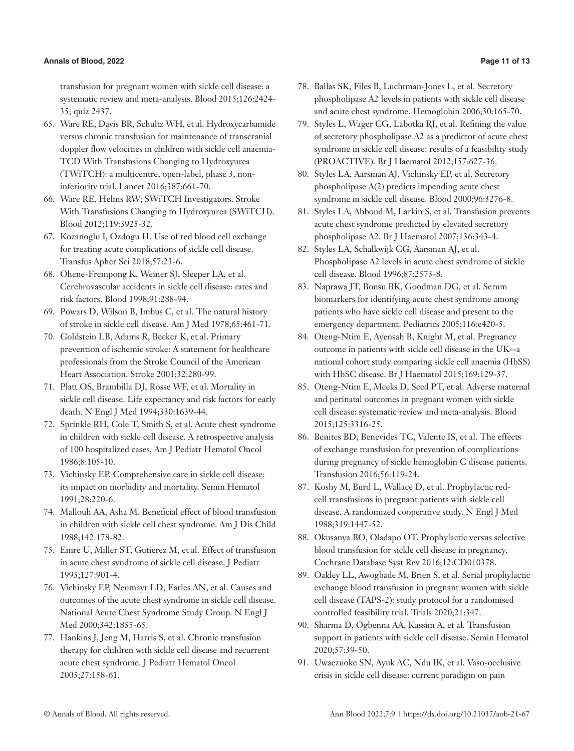transfusion for pregnant women with sickle cell disease: a systematic review and meta-analysis. Blood 2015;126:2424- 35; quiz 2437.

- 65. Ware RE, Davis BR, Schultz WH, et al. Hydroxycarbamide versus chronic transfusion for maintenance of transcranial doppler flow velocities in children with sickle cell anaemia-TCD With Transfusions Changing to Hydroxyurea (TWiTCH): a multicentre, open-label, phase 3, noninferiority trial. Lancet 2016;387:661-70.
- 66. Ware RE, Helms RW; SWiTCH Investigators. Stroke With Transfusions Changing to Hydroxyurea (SWiTCH). Blood 2012;119:3925-32.
- 67. Kozanoglu I, Ozdogu H. Use of red blood cell exchange for treating acute complications of sickle cell disease. Transfus Apher Sci 2018;57:23-6.
- 68. Ohene-Frempong K, Weiner SJ, Sleeper LA, et al. Cerebrovascular accidents in sickle cell disease: rates and risk factors. Blood 1998;91:288-94.
- 69. Powars D, Wilson B, Imbus C, et al. The natural history of stroke in sickle cell disease. Am J Med 1978;65:461-71.
- 70. Goldstein LB, Adams R, Becker K, et al. Primary prevention of ischemic stroke: A statement for healthcare professionals from the Stroke Council of the American Heart Association. Stroke 2001;32:280-99.
- 71. Platt OS, Brambilla DJ, Rosse WF, et al. Mortality in sickle cell disease. Life expectancy and risk factors for early death. N Engl J Med 1994;330:1639-44.
- 72. Sprinkle RH, Cole T, Smith S, et al. Acute chest syndrome in children with sickle cell disease. A retrospective analysis of 100 hospitalized cases. Am J Pediatr Hematol Oncol 1986;8:105-10.
- 73. Vichinsky EP. Comprehensive care in sickle cell disease: its impact on morbidity and mortality. Semin Hematol 1991;28:220-6.
- 74. Mallouh AA, Asha M. Beneficial effect of blood transfusion in children with sickle cell chest syndrome. Am J Dis Child 1988;142:178-82.
- 75. Emre U, Miller ST, Gutierez M, et al. Effect of transfusion in acute chest syndrome of sickle cell disease. J Pediatr 1995;127:901-4.
- 76. Vichinsky EP, Neumayr LD, Earles AN, et al. Causes and outcomes of the acute chest syndrome in sickle cell disease. National Acute Chest Syndrome Study Group. N Engl J Med 2000;342:1855-65.
- 77. Hankins J, Jeng M, Harris S, et al. Chronic transfusion therapy for children with sickle cell disease and recurrent acute chest syndrome. J Pediatr Hematol Oncol 2005;27:158-61.
- 78. Ballas SK, Files B, Luchtman-Jones L, et al. Secretory phospholipase A2 levels in patients with sickle cell disease and acute chest syndrome. Hemoglobin 2006;30:165-70.
- 79. Styles L, Wager CG, Labotka RJ, et al. Refining the value of secretory phospholipase A2 as a predictor of acute chest syndrome in sickle cell disease: results of a feasibility study (PROACTIVE). Br J Haematol 2012;157:627-36.
- 80. Styles LA, Aarsman AJ, Vichinsky EP, et al. Secretory phospholipase A(2) predicts impending acute chest syndrome in sickle cell disease. Blood 2000;96:3276-8.
- 81. Styles LA, Abboud M, Larkin S, et al. Transfusion prevents acute chest syndrome predicted by elevated secretory phospholipase A2. Br J Haematol 2007;136:343-4.
- 82. Styles LA, Schalkwijk CG, Aarsman AJ, et al. Phospholipase A2 levels in acute chest syndrome of sickle cell disease. Blood 1996;87:2573-8.
- 83. Naprawa JT, Bonsu BK, Goodman DG, et al. Serum biomarkers for identifying acute chest syndrome among patients who have sickle cell disease and present to the emergency department. Pediatrics 2005;116:e420-5.
- 84. Oteng-Ntim E, Ayensah B, Knight M, et al. Pregnancy outcome in patients with sickle cell disease in the UK--a national cohort study comparing sickle cell anaemia (HbSS) with HbSC disease. Br J Haematol 2015;169:129-37.
- 85. Oteng-Ntim E, Meeks D, Seed PT, et al. Adverse maternal and perinatal outcomes in pregnant women with sickle cell disease: systematic review and meta-analysis. Blood 2015;125:3316-25.
- 86. Benites BD, Benevides TC, Valente IS, et al. The effects of exchange transfusion for prevention of complications during pregnancy of sickle hemoglobin C disease patients. Transfusion 2016;56:119-24.
- 87. Koshy M, Burd L, Wallace D, et al. Prophylactic redcell transfusions in pregnant patients with sickle cell disease. A randomized cooperative study. N Engl J Med 1988;319:1447-52.
- 88. Okusanya BO, Oladapo OT. Prophylactic versus selective blood transfusion for sickle cell disease in pregnancy. Cochrane Database Syst Rev 2016;12:CD010378.
- 89. Oakley LL, Awogbade M, Brien S, et al. Serial prophylactic exchange blood transfusion in pregnant women with sickle cell disease (TAPS-2): study protocol for a randomised controlled feasibility trial. Trials 2020;21:347.
- 90. Sharma D, Ogbenna AA, Kassim A, et al. Transfusion support in patients with sickle cell disease. Semin Hematol 2020;57:39-50.
- 91. Uwaezuoke SN, Ayuk AC, Ndu IK, et al. Vaso-occlusive crisis in sickle cell disease: current paradigm on pain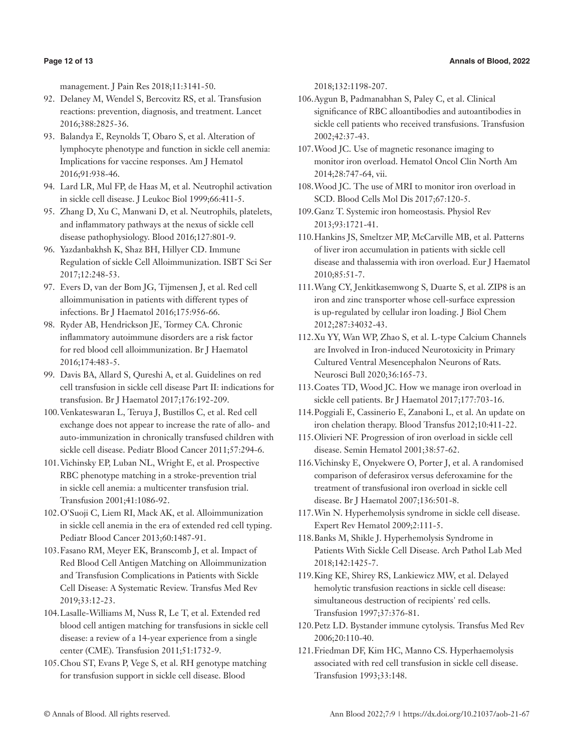management. J Pain Res 2018;11:3141-50.

- 92. Delaney M, Wendel S, Bercovitz RS, et al. Transfusion reactions: prevention, diagnosis, and treatment. Lancet 2016;388:2825-36.
- 93. Balandya E, Reynolds T, Obaro S, et al. Alteration of lymphocyte phenotype and function in sickle cell anemia: Implications for vaccine responses. Am J Hematol 2016;91:938-46.
- 94. Lard LR, Mul FP, de Haas M, et al. Neutrophil activation in sickle cell disease. J Leukoc Biol 1999;66:411-5.
- 95. Zhang D, Xu C, Manwani D, et al. Neutrophils, platelets, and inflammatory pathways at the nexus of sickle cell disease pathophysiology. Blood 2016;127:801-9.
- 96. Yazdanbakhsh K, Shaz BH, Hillyer CD. Immune Regulation of sickle Cell Alloimmunization. ISBT Sci Ser 2017;12:248-53.
- 97. Evers D, van der Bom JG, Tijmensen J, et al. Red cell alloimmunisation in patients with different types of infections. Br J Haematol 2016;175:956-66.
- 98. Ryder AB, Hendrickson JE, Tormey CA. Chronic inflammatory autoimmune disorders are a risk factor for red blood cell alloimmunization. Br J Haematol 2016;174:483-5.
- 99. Davis BA, Allard S, Qureshi A, et al. Guidelines on red cell transfusion in sickle cell disease Part II: indications for transfusion. Br J Haematol 2017;176:192-209.
- 100.Venkateswaran L, Teruya J, Bustillos C, et al. Red cell exchange does not appear to increase the rate of allo- and auto-immunization in chronically transfused children with sickle cell disease. Pediatr Blood Cancer 2011;57:294-6.
- 101.Vichinsky EP, Luban NL, Wright E, et al. Prospective RBC phenotype matching in a stroke-prevention trial in sickle cell anemia: a multicenter transfusion trial. Transfusion 2001;41:1086-92.
- 102.O'Suoji C, Liem RI, Mack AK, et al. Alloimmunization in sickle cell anemia in the era of extended red cell typing. Pediatr Blood Cancer 2013;60:1487-91.
- 103.Fasano RM, Meyer EK, Branscomb J, et al. Impact of Red Blood Cell Antigen Matching on Alloimmunization and Transfusion Complications in Patients with Sickle Cell Disease: A Systematic Review. Transfus Med Rev 2019;33:12-23.
- 104.Lasalle-Williams M, Nuss R, Le T, et al. Extended red blood cell antigen matching for transfusions in sickle cell disease: a review of a 14-year experience from a single center (CME). Transfusion 2011;51:1732-9.
- 105.Chou ST, Evans P, Vege S, et al. RH genotype matching for transfusion support in sickle cell disease. Blood

2018;132:1198-207.

- 106.Aygun B, Padmanabhan S, Paley C, et al. Clinical significance of RBC alloantibodies and autoantibodies in sickle cell patients who received transfusions. Transfusion 2002;42:37-43.
- 107.Wood JC. Use of magnetic resonance imaging to monitor iron overload. Hematol Oncol Clin North Am 2014;28:747-64, vii.
- 108.Wood JC. The use of MRI to monitor iron overload in SCD. Blood Cells Mol Dis 2017;67:120-5.
- 109.Ganz T. Systemic iron homeostasis. Physiol Rev 2013;93:1721-41.
- 110.Hankins JS, Smeltzer MP, McCarville MB, et al. Patterns of liver iron accumulation in patients with sickle cell disease and thalassemia with iron overload. Eur J Haematol 2010;85:51-7.
- 111.Wang CY, Jenkitkasemwong S, Duarte S, et al. ZIP8 is an iron and zinc transporter whose cell-surface expression is up-regulated by cellular iron loading. J Biol Chem 2012;287:34032-43.
- 112.Xu YY, Wan WP, Zhao S, et al. L-type Calcium Channels are Involved in Iron-induced Neurotoxicity in Primary Cultured Ventral Mesencephalon Neurons of Rats. Neurosci Bull 2020;36:165-73.
- 113.Coates TD, Wood JC. How we manage iron overload in sickle cell patients. Br J Haematol 2017;177:703-16.
- 114.Poggiali E, Cassinerio E, Zanaboni L, et al. An update on iron chelation therapy. Blood Transfus 2012;10:411-22.
- 115.Olivieri NF. Progression of iron overload in sickle cell disease. Semin Hematol 2001;38:57-62.
- 116.Vichinsky E, Onyekwere O, Porter J, et al. A randomised comparison of deferasirox versus deferoxamine for the treatment of transfusional iron overload in sickle cell disease. Br J Haematol 2007;136:501-8.
- 117.Win N. Hyperhemolysis syndrome in sickle cell disease. Expert Rev Hematol 2009;2:111-5.
- 118.Banks M, Shikle J. Hyperhemolysis Syndrome in Patients With Sickle Cell Disease. Arch Pathol Lab Med 2018;142:1425-7.
- 119.King KE, Shirey RS, Lankiewicz MW, et al. Delayed hemolytic transfusion reactions in sickle cell disease: simultaneous destruction of recipients' red cells. Transfusion 1997;37:376-81.
- 120.Petz LD. Bystander immune cytolysis. Transfus Med Rev 2006;20:110-40.
- 121.Friedman DF, Kim HC, Manno CS. Hyperhaemolysis associated with red cell transfusion in sickle cell disease. Transfusion 1993;33:148.